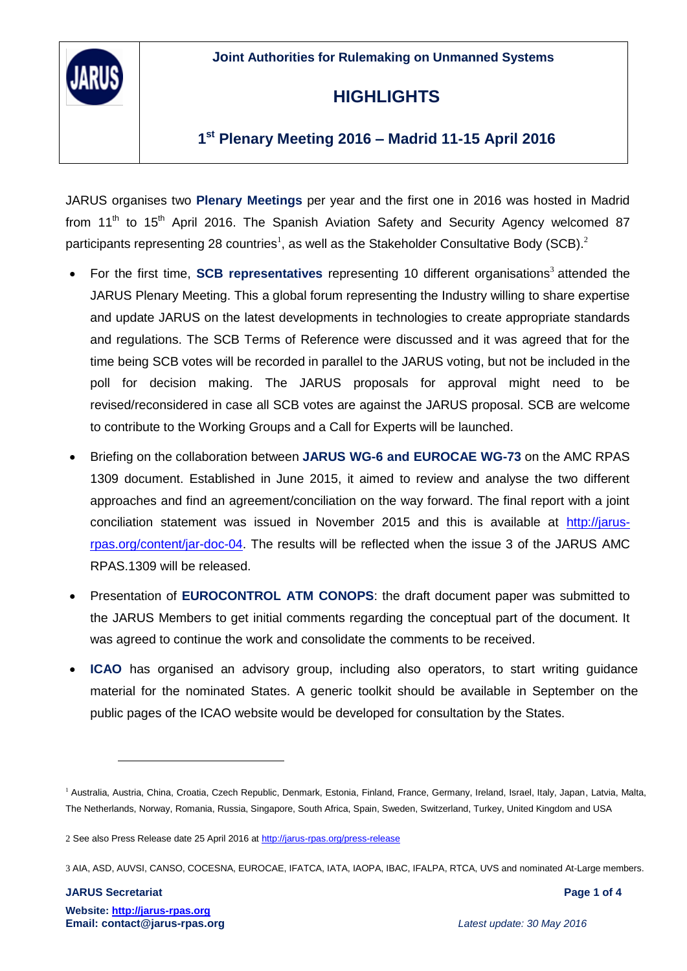**Joint Authorities for Rulemaking on Unmanned Systems**



## **HIGHLIGHTS**

### **1 st Plenary Meeting 2016 – Madrid 11-15 April 2016**

JARUS organises two **Plenary Meetings** per year and the first one in 2016 was hosted in Madrid from  $11<sup>th</sup>$  to  $15<sup>th</sup>$  April 2016. The Spanish Aviation Safety and Security Agency welcomed 87 participants representing 28 countries<sup>1</sup>, as well as the Stakeholder Consultative Body (SCB).<sup>2</sup>

- For the first time, **SCB representatives** representing 10 different organisations<sup>3</sup> attended the JARUS Plenary Meeting. This a global forum representing the Industry willing to share expertise and update JARUS on the latest developments in technologies to create appropriate standards and regulations. The SCB Terms of Reference were discussed and it was agreed that for the time being SCB votes will be recorded in parallel to the JARUS voting, but not be included in the poll for decision making. The JARUS proposals for approval might need to be revised/reconsidered in case all SCB votes are against the JARUS proposal. SCB are welcome to contribute to the Working Groups and a Call for Experts will be launched.
- Briefing on the collaboration between **JARUS WG-6 and EUROCAE WG-73** on the AMC RPAS 1309 document. Established in June 2015, it aimed to review and analyse the two different approaches and find an agreement/conciliation on the way forward. The final report with a joint conciliation statement was issued in November 2015 and this is available at [http://jarus](http://jarus-rpas.org/content/jar-doc-04)[rpas.org/content/jar-doc-04.](http://jarus-rpas.org/content/jar-doc-04) The results will be reflected when the issue 3 of the JARUS AMC RPAS.1309 will be released.
- Presentation of **EUROCONTROL ATM CONOPS**: the draft document paper was submitted to the JARUS Members to get initial comments regarding the conceptual part of the document. It was agreed to continue the work and consolidate the comments to be received.
- **ICAO** has organised an advisory group, including also operators, to start writing guidance material for the nominated States. A generic toolkit should be available in September on the public pages of the ICAO website would be developed for consultation by the States.

**JARUS Secretariat Page 1 of 4**

 $\overline{a}$ 

<sup>&</sup>lt;sup>1</sup> Australia, Austria, China, Croatia, Czech Republic, Denmark, Estonia, Finland, France, Germany, Ireland, Israel, Italy, Japan, Latvia, Malta, The Netherlands, Norway, Romania, Russia, Singapore, South Africa, Spain, Sweden, Switzerland, Turkey, United Kingdom and USA

<sup>2</sup> See also Press Release date 25 April 2016 at<http://jarus-rpas.org/press-release>

<sup>3</sup> AIA, ASD, AUVSI, CANSO, COCESNA, EUROCAE, IFATCA, IATA, IAOPA, IBAC, IFALPA, RTCA, UVS and nominated At-Large members.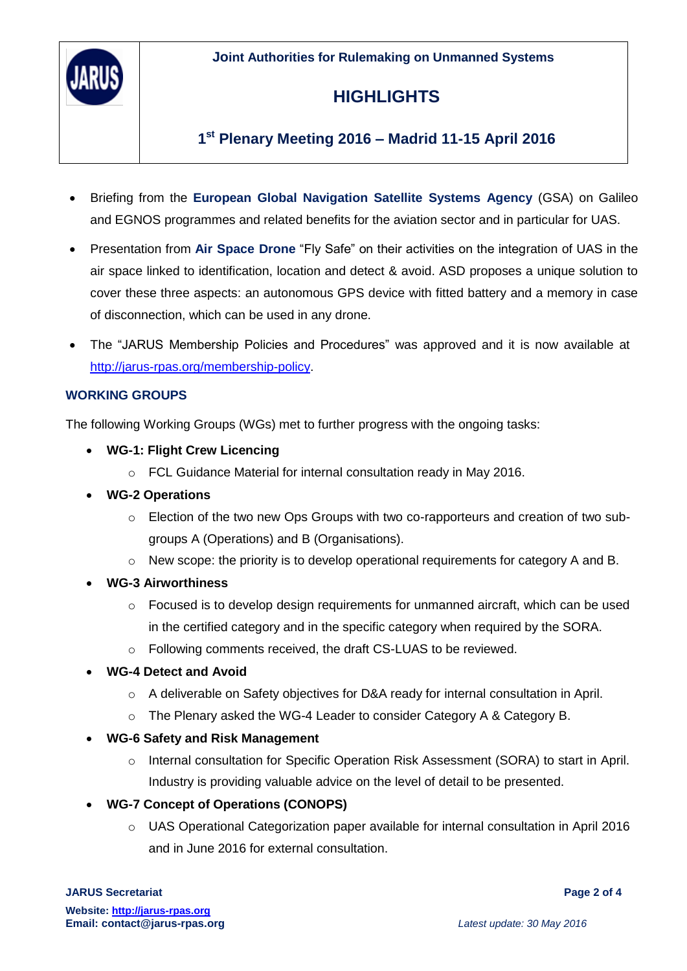**Joint Authorities for Rulemaking on Unmanned Systems**



## **HIGHLIGHTS**

## **1 st Plenary Meeting 2016 – Madrid 11-15 April 2016**

- Briefing from the **European Global Navigation Satellite Systems Agency** (GSA) on Galileo and EGNOS programmes and related benefits for the aviation sector and in particular for UAS.
- Presentation from **Air Space Drone** "Fly Safe" on their activities on the integration of UAS in the air space linked to identification, location and detect & avoid. ASD proposes a unique solution to cover these three aspects: an autonomous GPS device with fitted battery and a memory in case of disconnection, which can be used in any drone.
- The "JARUS Membership Policies and Procedures" was approved and it is now available at [http://jarus-rpas.org/membership-policy.](http://jarus-rpas.org/membership-policy)

#### **WORKING GROUPS**

The following Working Groups (WGs) met to further progress with the ongoing tasks:

- **WG-1: Flight Crew Licencing** 
	- o FCL Guidance Material for internal consultation ready in May 2016.
- **WG-2 Operations**
	- $\circ$  Election of the two new Ops Groups with two co-rapporteurs and creation of two subgroups A (Operations) and B (Organisations).
	- o New scope: the priority is to develop operational requirements for category A and B.
- **WG-3 Airworthiness**
	- $\circ$  Focused is to develop design requirements for unmanned aircraft, which can be used in the certified category and in the specific category when required by the SORA.
	- o Following comments received, the draft CS-LUAS to be reviewed.

#### **WG-4 Detect and Avoid**

- o A deliverable on Safety objectives for D&A ready for internal consultation in April.
- o The Plenary asked the WG-4 Leader to consider Category A & Category B.
- **WG-6 Safety and Risk Management**
	- o Internal consultation for Specific Operation Risk Assessment (SORA) to start in April. Industry is providing valuable advice on the level of detail to be presented.
- **WG-7 Concept of Operations (CONOPS)**
	- $\circ$  UAS Operational Categorization paper available for internal consultation in April 2016 and in June 2016 for external consultation.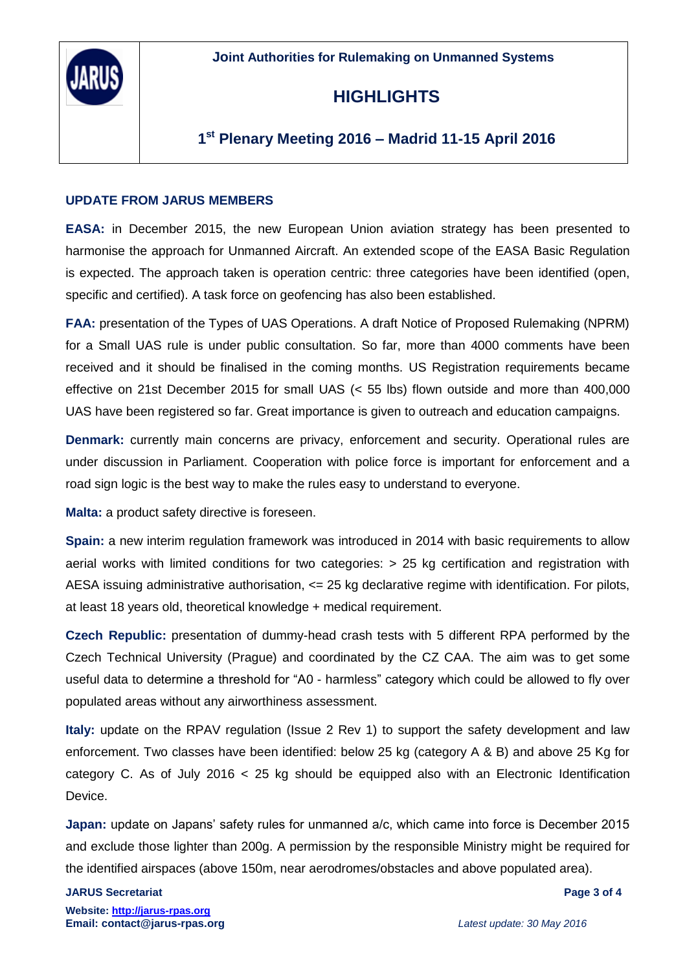

## **HIGHLIGHTS**

### **1 st Plenary Meeting 2016 – Madrid 11-15 April 2016**

#### **UPDATE FROM JARUS MEMBERS**

**EASA:** in December 2015, the new European Union aviation strategy has been presented to harmonise the approach for Unmanned Aircraft. An extended scope of the EASA Basic Regulation is expected. The approach taken is operation centric: three categories have been identified (open, specific and certified). A task force on geofencing has also been established.

**FAA:** presentation of the Types of UAS Operations. A draft Notice of Proposed Rulemaking (NPRM) for a Small UAS rule is under public consultation. So far, more than 4000 comments have been received and it should be finalised in the coming months. US Registration requirements became effective on 21st December 2015 for small UAS (< 55 lbs) flown outside and more than 400,000 UAS have been registered so far. Great importance is given to outreach and education campaigns.

**Denmark:** currently main concerns are privacy, enforcement and security. Operational rules are under discussion in Parliament. Cooperation with police force is important for enforcement and a road sign logic is the best way to make the rules easy to understand to everyone.

**Malta:** a product safety directive is foreseen.

**Spain:** a new interim regulation framework was introduced in 2014 with basic requirements to allow aerial works with limited conditions for two categories: > 25 kg certification and registration with AESA issuing administrative authorisation, <= 25 kg declarative regime with identification. For pilots, at least 18 years old, theoretical knowledge + medical requirement.

**Czech Republic:** presentation of dummy-head crash tests with 5 different RPA performed by the Czech Technical University (Prague) and coordinated by the CZ CAA. The aim was to get some useful data to determine a threshold for "A0 - harmless" category which could be allowed to fly over populated areas without any airworthiness assessment.

**Italy:** update on the RPAV regulation (Issue 2 Rev 1) to support the safety development and law enforcement. Two classes have been identified: below 25 kg (category A & B) and above 25 Kg for category C. As of July 2016  $\lt$  25 kg should be equipped also with an Electronic Identification Device.

**Japan:** update on Japans' safety rules for unmanned a/c, which came into force is December 2015 and exclude those lighter than 200g. A permission by the responsible Ministry might be required for the identified airspaces (above 150m, near aerodromes/obstacles and above populated area).

#### **JARUS Secretariat Page 3 of 4**